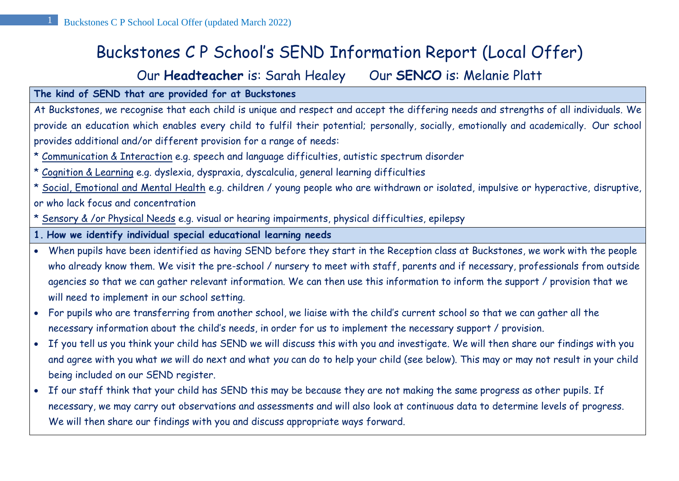# Buckstones C P School's SEND Information Report (Local Offer)

# Our **Headteacher** is: Sarah Healey Our **SENCO** is: Melanie Platt

#### **The kind of SEND that are provided for at Buckstones**

At Buckstones, we recognise that each child is unique and respect and accept the differing needs and strengths of all individuals. We provide an education which enables every child to fulfil their potential; personally, socially, emotionally and academically. Our school provides additional and/or different provision for a range of needs:

- \* Communication & Interaction e.g. speech and language difficulties, autistic spectrum disorder
- \* Cognition & Learning e.g. dyslexia, dyspraxia, dyscalculia, general learning difficulties

\* Social, Emotional and Mental Health e.g. children / young people who are withdrawn or isolated, impulsive or hyperactive, disruptive, or who lack focus and concentration

- \* Sensory & /or Physical Needs e.g. visual or hearing impairments, physical difficulties, epilepsy
- **1. How we identify individual special educational learning needs**
- When pupils have been identified as having SEND before they start in the Reception class at Buckstones, we work with the people who already know them. We visit the pre-school / nursery to meet with staff, parents and if necessary, professionals from outside agencies so that we can gather relevant information. We can then use this information to inform the support / provision that we will need to implement in our school setting.
- For pupils who are transferring from another school, we liaise with the child's current school so that we can gather all the necessary information about the child's needs, in order for us to implement the necessary support / provision.
- If you tell us you think your child has SEND we will discuss this with you and investigate. We will then share our findings with you and agree with you what *we* will do next and what *you* can do to help your child (see below). This may or may not result in your child being included on our SEND register.
- If our staff think that your child has SEND this may be because they are not making the same progress as other pupils. If necessary, we may carry out observations and assessments and will also look at continuous data to determine levels of progress. We will then share our findings with you and discuss appropriate ways forward.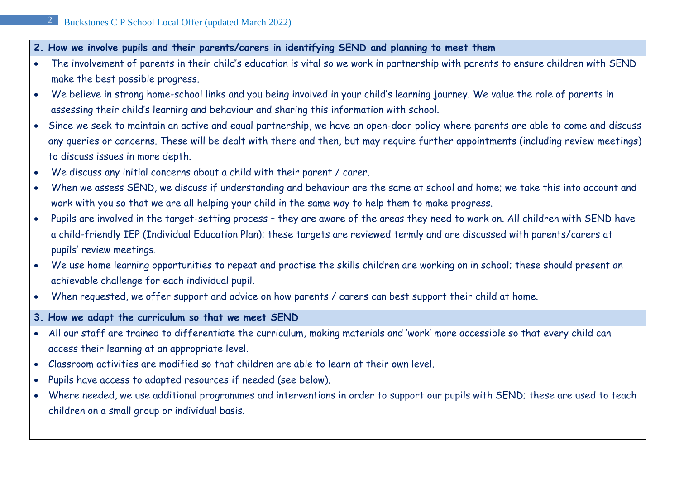- **2. How we involve pupils and their parents/carers in identifying SEND and planning to meet them**
- The involvement of parents in their child's education is vital so we work in partnership with parents to ensure children with SEND make the best possible progress.
- We believe in strong home-school links and you being involved in your child's learning journey. We value the role of parents in assessing their child's learning and behaviour and sharing this information with school.
- Since we seek to maintain an active and equal partnership, we have an open-door policy where parents are able to come and discuss any queries or concerns. These will be dealt with there and then, but may require further appointments (including review meetings) to discuss issues in more depth.
- We discuss any initial concerns about a child with their parent / carer.
- When we assess SEND, we discuss if understanding and behaviour are the same at school and home; we take this into account and work with you so that we are all helping your child in the same way to help them to make progress.
- Pupils are involved in the target-setting process they are aware of the areas they need to work on. All children with SEND have a child-friendly IEP (Individual Education Plan); these targets are reviewed termly and are discussed with parents/carers at pupils' review meetings.
- We use home learning opportunities to repeat and practise the skills children are working on in school; these should present an achievable challenge for each individual pupil.
- When requested, we offer support and advice on how parents / carers can best support their child at home.
- **3. How we adapt the curriculum so that we meet SEND**
- All our staff are trained to differentiate the curriculum, making materials and 'work' more accessible so that every child can access their learning at an appropriate level.
- Classroom activities are modified so that children are able to learn at their own level.
- Pupils have access to adapted resources if needed (see below).
- Where needed, we use additional programmes and interventions in order to support our pupils with SEND; these are used to teach children on a small group or individual basis.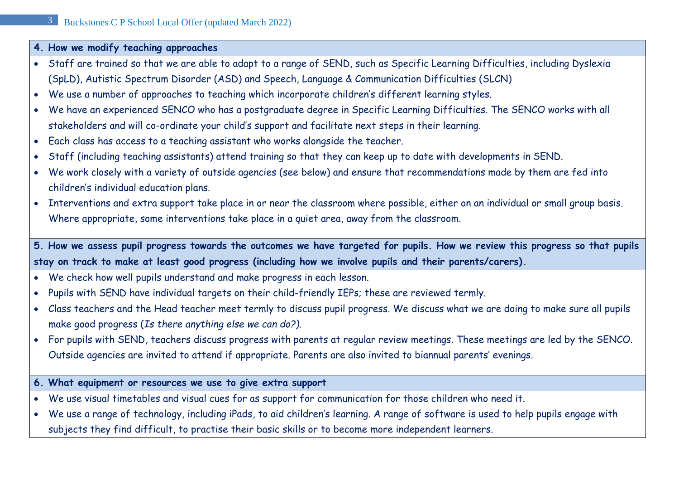#### **4. How we modify teaching approaches**

- Staff are trained so that we are able to adapt to a range of SEND, such as Specific Learning Difficulties, including Dyslexia (SpLD), Autistic Spectrum Disorder (ASD) and Speech, Language & Communication Difficulties (SLCN)
- We use a number of approaches to teaching which incorporate children's different learning styles.
- We have an experienced SENCO who has a postgraduate degree in Specific Learning Difficulties. The SENCO works with all stakeholders and will co-ordinate your child's support and facilitate next steps in their learning.
- Each class has access to a teaching assistant who works alongside the teacher.
- Staff (including teaching assistants) attend training so that they can keep up to date with developments in SEND.
- We work closely with a variety of outside agencies (see below) and ensure that recommendations made by them are fed into children's individual education plans.
- Interventions and extra support take place in or near the classroom where possible, either on an individual or small group basis. Where appropriate, some interventions take place in a quiet area, away from the classroom.

**5. How we assess pupil progress towards the outcomes we have targeted for pupils. How we review this progress so that pupils stay on track to make at least good progress (including how we involve pupils and their parents/carers).**

- We check how well pupils understand and make progress in each lesson.
- Pupils with SEND have individual targets on their child-friendly IEPs; these are reviewed termly.
- Class teachers and the Head teacher meet termly to discuss pupil progress. We discuss what we are doing to make sure all pupils make good progress (*Is there anything else we can do?).*
- For pupils with SEND, teachers discuss progress with parents at regular review meetings. These meetings are led by the SENCO. Outside agencies are invited to attend if appropriate. Parents are also invited to biannual parents' evenings.
- **6. What equipment or resources we use to give extra support**
- We use visual timetables and visual cues for as support for communication for those children who need it.
- We use a range of technology, including iPads, to aid children's learning. A range of software is used to help pupils engage with subjects they find difficult, to practise their basic skills or to become more independent learners.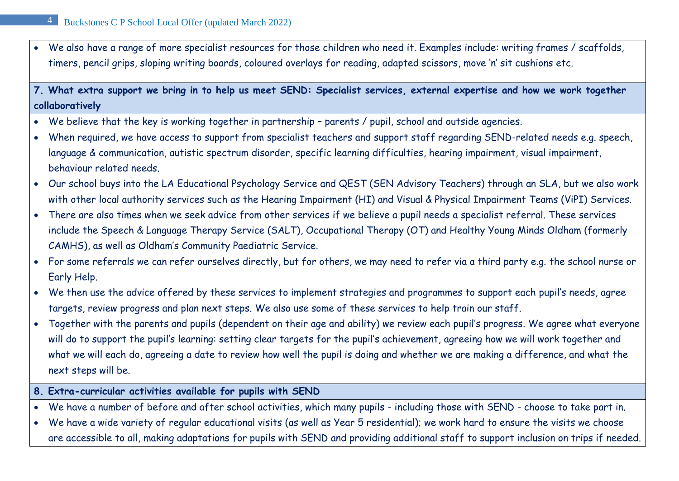• We also have a range of more specialist resources for those children who need it. Examples include: writing frames / scaffolds, timers, pencil grips, sloping writing boards, coloured overlays for reading, adapted scissors, move 'n' sit cushions etc.

**7. What extra support we bring in to help us meet SEND: Specialist services, external expertise and how we work together collaboratively**

- We believe that the key is working together in partnership parents / pupil, school and outside agencies.
- When required, we have access to support from specialist teachers and support staff regarding SEND-related needs e.g. speech, language & communication, autistic spectrum disorder, specific learning difficulties, hearing impairment, visual impairment, behaviour related needs.
- Our school buys into the LA Educational Psychology Service and QEST (SEN Advisory Teachers) through an SLA, but we also work with other local authority services such as the Hearing Impairment (HI) and Visual & Physical Impairment Teams (ViPI) Services.
- There are also times when we seek advice from other services if we believe a pupil needs a specialist referral. These services include the Speech & Language Therapy Service (SALT), Occupational Therapy (OT) and Healthy Young Minds Oldham (formerly CAMHS), as well as Oldham's Community Paediatric Service.
- For some referrals we can refer ourselves directly, but for others, we may need to refer via a third party e.g. the school nurse or Early Help.
- We then use the advice offered by these services to implement strategies and programmes to support each pupil's needs, agree targets, review progress and plan next steps. We also use some of these services to help train our staff.
- Together with the parents and pupils (dependent on their age and ability) we review each pupil's progress. We agree what everyone will do to support the pupil's learning: setting clear targets for the pupil's achievement, agreeing how we will work together and what we will each do, agreeing a date to review how well the pupil is doing and whether we are making a difference, and what the next steps will be.
- **8. Extra-curricular activities available for pupils with SEND**
- We have a number of before and after school activities, which many pupils including those with SEND choose to take part in.
- We have a wide variety of regular educational visits (as well as Year 5 residential); we work hard to ensure the visits we choose are accessible to all, making adaptations for pupils with SEND and providing additional staff to support inclusion on trips if needed.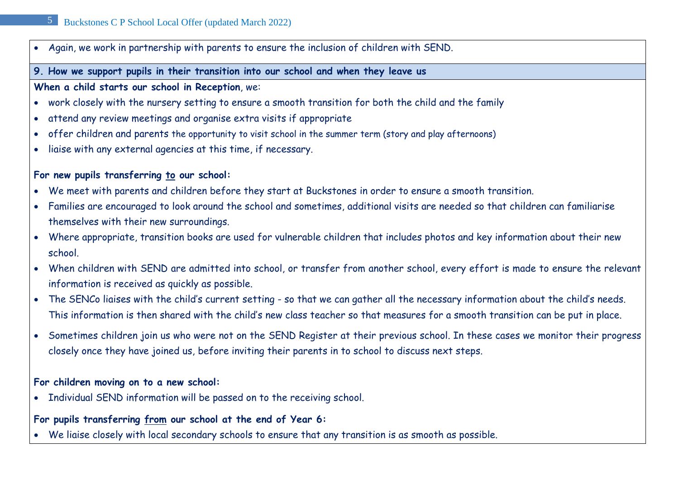• Again, we work in partnership with parents to ensure the inclusion of children with SEND.

#### **9. How we support pupils in their transition into our school and when they leave us**

#### **When a child starts our school in Reception**, we:

- work closely with the nursery setting to ensure a smooth transition for both the child and the family
- attend any review meetings and organise extra visits if appropriate
- offer children and parents the opportunity to visit school in the summer term (story and play afternoons)
- liaise with any external agencies at this time, if necessary.

# **For new pupils transferring to our school:**

- We meet with parents and children before they start at Buckstones in order to ensure a smooth transition.
- Families are encouraged to look around the school and sometimes, additional visits are needed so that children can familiarise themselves with their new surroundings.
- Where appropriate, transition books are used for vulnerable children that includes photos and key information about their new school.
- When children with SEND are admitted into school, or transfer from another school, every effort is made to ensure the relevant information is received as quickly as possible.
- The SENCo liaises with the child's current setting so that we can gather all the necessary information about the child's needs. This information is then shared with the child's new class teacher so that measures for a smooth transition can be put in place.
- Sometimes children join us who were not on the SEND Register at their previous school. In these cases we monitor their progress closely once they have joined us, before inviting their parents in to school to discuss next steps.

# **For children moving on to a new school:**

• Individual SEND information will be passed on to the receiving school.

# **For pupils transferring from our school at the end of Year 6:**

• We liaise closely with local secondary schools to ensure that any transition is as smooth as possible.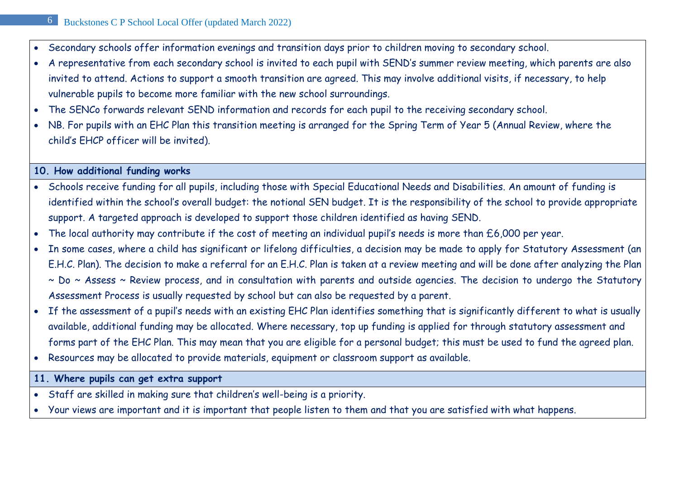- Secondary schools offer information evenings and transition days prior to children moving to secondary school.
- A representative from each secondary school is invited to each pupil with SEND's summer review meeting, which parents are also invited to attend. Actions to support a smooth transition are agreed. This may involve additional visits, if necessary, to help vulnerable pupils to become more familiar with the new school surroundings.
- The SENCo forwards relevant SEND information and records for each pupil to the receiving secondary school.
- NB. For pupils with an EHC Plan this transition meeting is arranged for the Spring Term of Year 5 (Annual Review, where the child's EHCP officer will be invited).

#### **10. How additional funding works**

- Schools receive funding for all pupils, including those with Special Educational Needs and Disabilities. An amount of funding is identified within the school's overall budget: the notional SEN budget. It is the responsibility of the school to provide appropriate support. A targeted approach is developed to support those children identified as having SEND.
- The local authority may contribute if the cost of meeting an individual pupil's needs is more than £6,000 per year.
- In some cases, where a child has significant or lifelong difficulties, a decision may be made to apply for Statutory Assessment (an E.H.C. Plan). The decision to make a referral for an E.H.C. Plan is taken at a review meeting and will be done after analyzing the Plan ~ Do ~ Assess ~ Review process, and in consultation with parents and outside agencies. The decision to undergo the Statutory Assessment Process is usually requested by school but can also be requested by a parent.
- If the assessment of a pupil's needs with an existing EHC Plan identifies something that is significantly different to what is usually available, additional funding may be allocated. Where necessary, top up funding is applied for through statutory assessment and forms part of the EHC Plan. This may mean that you are eligible for a personal budget; this must be used to fund the agreed plan.
- Resources may be allocated to provide materials, equipment or classroom support as available.
- **11. Where pupils can get extra support**
- Staff are skilled in making sure that children's well-being is a priority.
- Your views are important and it is important that people listen to them and that you are satisfied with what happens.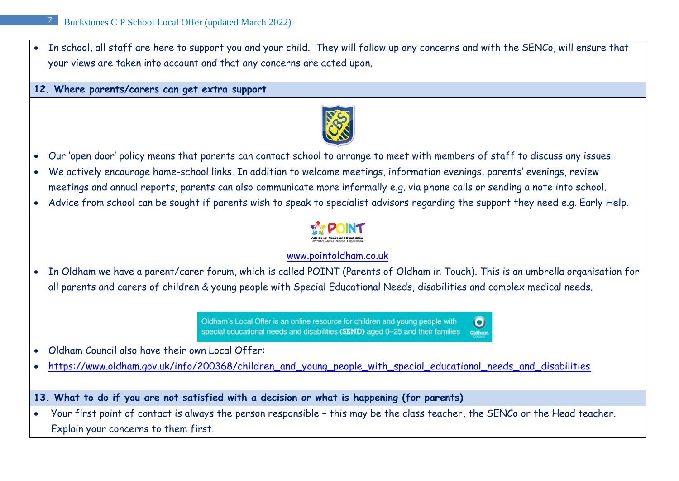• In school, all staff are here to support you and your child. They will follow up any concerns and with the SENCo, will ensure that your views are taken into account and that any concerns are acted upon.

**12. Where parents/carers can get extra support**



- Our 'open door' policy means that parents can contact school to arrange to meet with members of staff to discuss any issues.
- We actively encourage home-school links. In addition to welcome meetings, information evenings, parents' evenings, review meetings and annual reports, parents can also communicate more informally e.g. via phone calls or sending a note into school.
- Advice from school can be sought if parents wish to speak to specialist advisors regarding the support they need e.g. Early Help.



#### [www.pointoldham.co.uk](http://www.pointoldham.co.uk/)

• In Oldham we have a parent/carer forum, which is called POINT (Parents of Oldham in Touch). This is an umbrella organisation for all parents and carers of children & young people with Special Educational Needs, disabilities and complex medical needs.

> Oldham's Local Offer is an online resource for children and young people with O special educational needs and disabilities (SEND) aged 0-25 and their families Oldhan

- Oldham Council also have their own Local Offer:
- [https://www.oldham.gov.uk/info/200368/children\\_and\\_young\\_people\\_with\\_special\\_educational\\_needs\\_and\\_disabilities](https://www.oldham.gov.uk/info/200368/children_and_young_people_with_special_educational_needs_and_disabilities)

**13. What to do if you are not satisfied with a decision or what is happening (for parents)**

• Your first point of contact is always the person responsible – this may be the class teacher, the SENCo or the Head teacher. Explain your concerns to them first.